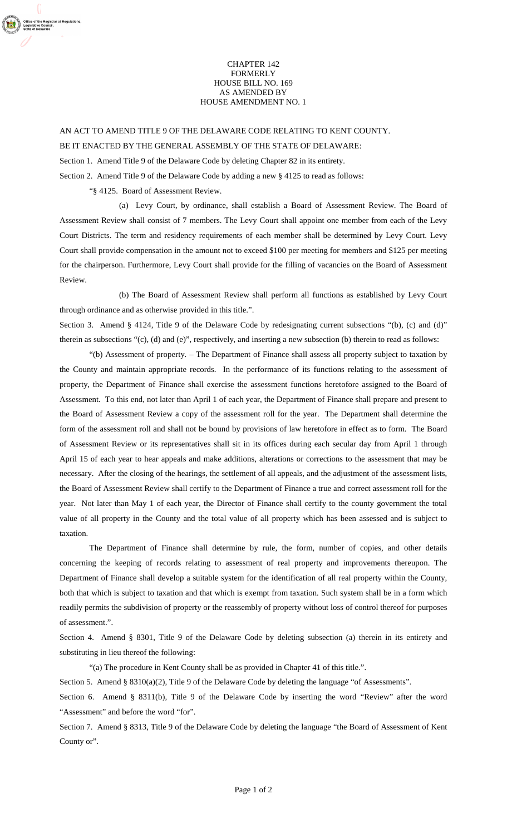## CHAPTER 142 FORMERLY HOUSE BILL NO. 169 AS AMENDED BY HOUSE AMENDMENT NO. 1

AN ACT TO AMEND TITLE 9 OF THE DELAWARE CODE RELATING TO KENT COUNTY. BE IT ENACTED BY THE GENERAL ASSEMBLY OF THE STATE OF DELAWARE: Section 1. Amend Title 9 of the Delaware Code by deleting Chapter 82 in its entirety. Section 2. Amend Title 9 of the Delaware Code by adding a new § 4125 to read as follows:

"§ 4125. Board of Assessment Review.

r of Regulations

(a) Levy Court, by ordinance, shall establish a Board of Assessment Review. The Board of Assessment Review shall consist of 7 members. The Levy Court shall appoint one member from each of the Levy Court Districts. The term and residency requirements of each member shall be determined by Levy Court. Levy Court shall provide compensation in the amount not to exceed \$100 per meeting for members and \$125 per meeting for the chairperson. Furthermore, Levy Court shall provide for the filling of vacancies on the Board of Assessment Review.

(b) The Board of Assessment Review shall perform all functions as established by Levy Court through ordinance and as otherwise provided in this title.".

Section 3. Amend § 4124, Title 9 of the Delaware Code by redesignating current subsections "(b), (c) and (d)" therein as subsections "(c), (d) and (e)", respectively, and inserting a new subsection (b) therein to read as follows:

"(b) Assessment of property. – The Department of Finance shall assess all property subject to taxation by the County and maintain appropriate records. In the performance of its functions relating to the assessment of property, the Department of Finance shall exercise the assessment functions heretofore assigned to the Board of Assessment. To this end, not later than April 1 of each year, the Department of Finance shall prepare and present to the Board of Assessment Review a copy of the assessment roll for the year. The Department shall determine the form of the assessment roll and shall not be bound by provisions of law heretofore in effect as to form. The Board of Assessment Review or its representatives shall sit in its offices during each secular day from April 1 through April 15 of each year to hear appeals and make additions, alterations or corrections to the assessment that may be necessary. After the closing of the hearings, the settlement of all appeals, and the adjustment of the assessment lists, the Board of Assessment Review shall certify to the Department of Finance a true and correct assessment roll for the year. Not later than May 1 of each year, the Director of Finance shall certify to the county government the total value of all property in the County and the total value of all property which has been assessed and is subject to taxation.

The Department of Finance shall determine by rule, the form, number of copies, and other details concerning the keeping of records relating to assessment of real property and improvements thereupon. The Department of Finance shall develop a suitable system for the identification of all real property within the County, both that which is subject to taxation and that which is exempt from taxation. Such system shall be in a form which readily permits the subdivision of property or the reassembly of property without loss of control thereof for purposes of assessment.".

Section 4. Amend § 8301, Title 9 of the Delaware Code by deleting subsection (a) therein in its entirety and substituting in lieu thereof the following:

"(a) The procedure in Kent County shall be as provided in Chapter 41 of this title.".

Section 5. Amend § 8310(a)(2), Title 9 of the Delaware Code by deleting the language "of Assessments".

Section 6. Amend § 8311(b), Title 9 of the Delaware Code by inserting the word "Review" after the word "Assessment" and before the word "for".

Section 7. Amend § 8313, Title 9 of the Delaware Code by deleting the language "the Board of Assessment of Kent County or".